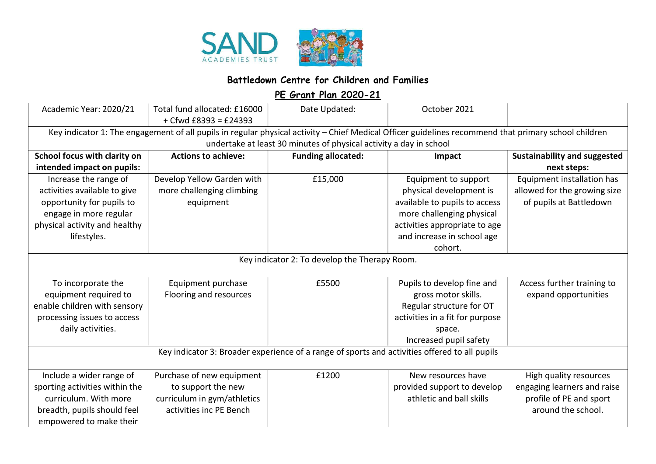

## Battledown Centre for Children and Families

PE Grant Plan 2020-21

| Academic Year: 2020/21                                                                                                                                                                                                     | Total fund allocated: £16000<br>+ Cfwd £8393 = £24393 | Date Updated:             | October 2021                    |                                     |  |  |
|----------------------------------------------------------------------------------------------------------------------------------------------------------------------------------------------------------------------------|-------------------------------------------------------|---------------------------|---------------------------------|-------------------------------------|--|--|
| Key indicator 1: The engagement of all pupils in regular physical activity - Chief Medical Officer guidelines recommend that primary school children<br>undertake at least 30 minutes of physical activity a day in school |                                                       |                           |                                 |                                     |  |  |
| School focus with clarity on                                                                                                                                                                                               | <b>Actions to achieve:</b>                            | <b>Funding allocated:</b> | Impact                          | <b>Sustainability and suggested</b> |  |  |
| intended impact on pupils:                                                                                                                                                                                                 |                                                       |                           |                                 | next steps:                         |  |  |
| Increase the range of                                                                                                                                                                                                      | Develop Yellow Garden with                            | £15,000                   | Equipment to support            | Equipment installation has          |  |  |
| activities available to give                                                                                                                                                                                               | more challenging climbing                             |                           | physical development is         | allowed for the growing size        |  |  |
| opportunity for pupils to                                                                                                                                                                                                  | equipment                                             |                           | available to pupils to access   | of pupils at Battledown             |  |  |
| engage in more regular                                                                                                                                                                                                     |                                                       |                           | more challenging physical       |                                     |  |  |
| physical activity and healthy                                                                                                                                                                                              |                                                       |                           | activities appropriate to age   |                                     |  |  |
| lifestyles.                                                                                                                                                                                                                |                                                       |                           | and increase in school age      |                                     |  |  |
|                                                                                                                                                                                                                            |                                                       |                           | cohort.                         |                                     |  |  |
| Key indicator 2: To develop the Therapy Room.                                                                                                                                                                              |                                                       |                           |                                 |                                     |  |  |
| To incorporate the                                                                                                                                                                                                         | Equipment purchase                                    | £5500                     | Pupils to develop fine and      | Access further training to          |  |  |
| equipment required to                                                                                                                                                                                                      | Flooring and resources                                |                           | gross motor skills.             | expand opportunities                |  |  |
| enable children with sensory                                                                                                                                                                                               |                                                       |                           | Regular structure for OT        |                                     |  |  |
| processing issues to access                                                                                                                                                                                                |                                                       |                           | activities in a fit for purpose |                                     |  |  |
| daily activities.                                                                                                                                                                                                          |                                                       |                           | space.                          |                                     |  |  |
|                                                                                                                                                                                                                            |                                                       |                           | Increased pupil safety          |                                     |  |  |
| Key indicator 3: Broader experience of a range of sports and activities offered to all pupils                                                                                                                              |                                                       |                           |                                 |                                     |  |  |
| Include a wider range of                                                                                                                                                                                                   | Purchase of new equipment                             | £1200                     | New resources have              | High quality resources              |  |  |
| sporting activities within the                                                                                                                                                                                             | to support the new                                    |                           | provided support to develop     | engaging learners and raise         |  |  |
| curriculum. With more                                                                                                                                                                                                      | curriculum in gym/athletics                           |                           | athletic and ball skills        | profile of PE and sport             |  |  |
| breadth, pupils should feel                                                                                                                                                                                                | activities inc PE Bench                               |                           |                                 | around the school.                  |  |  |
| empowered to make their                                                                                                                                                                                                    |                                                       |                           |                                 |                                     |  |  |